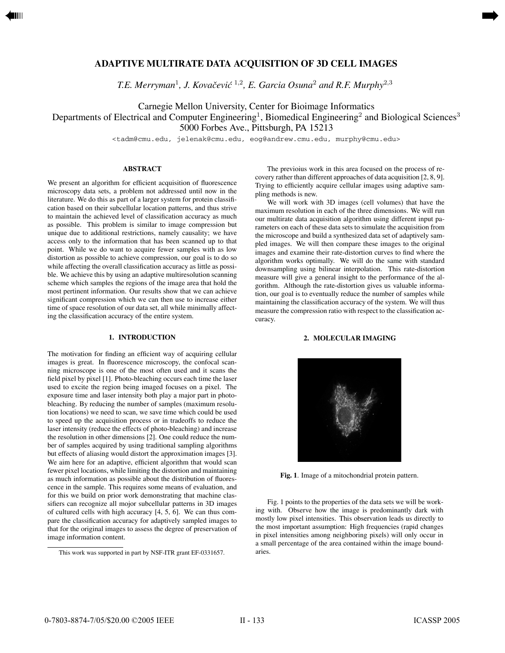# **ADAPTIVE MULTIRATE DATA ACQUISITION OF 3D CELL IMAGES**

*T.E. Merryman*<sup>1</sup>*, J. Kovacevi ˇ c´* <sup>1</sup>,<sup>2</sup>*, E. Garcia Osuna*<sup>2</sup> *and R.F. Murphy*<sup>2</sup>,<sup>3</sup>

<span id="page-0-0"></span>[➡](#page-1-0)

Carnegie Mellon University, Center for Bioimage Informatics Departments of Electrical and Computer Engineering<sup>1</sup>, Biomedical Engineering<sup>2</sup> and Biological Sciences<sup>3</sup> 5000 Forbes Ave., Pittsburgh, PA 15213

<tadm@cmu.edu, jelenak@cmu.edu, eog@andrew.cmu.edu, murphy@cmu.edu>

# **ABSTRACT**

We present an algorithm for efficient acquisition of fluorescence microscopy data sets, a problem not addressed until now in the literature. We do this as part of a larger system for protein classification based on their subcellular location patterns, and thus strive to maintain the achieved level of classification accuracy as much as possible. This problem is similar to image compression but unique due to additional restrictions, namely causality; we have access only to the information that has been scanned up to that point. While we do want to acquire fewer samples with as low distortion as possible to achieve compression, our goal is to do so while affecting the overall classification accuracy as little as possible. We achieve this by using an adaptive multiresolution scanning scheme which samples the regions of the image area that hold the most pertinent information. Our results show that we can achieve significant compression which we can then use to increase either time of space resolution of our data set, all while minimally affecting the classification accuracy of the entire system.

### **1. INTRODUCTION**

The motivation for finding an efficient way of acquiring cellular images is great. In fluorescence microscopy, the confocal scanning microscope is one of the most often used and it scans the field pixel by pixel [1]. Photo-bleaching occurs each time the laser used to excite the region being imaged focuses on a pixel. The exposure time and laser intensity both play a major part in photobleaching. By reducing the number of samples (maximum resolution locations) we need to scan, we save time which could be used to speed up the acquisition process or in tradeoffs to reduce the laser intensity (reduce the effects of photo-bleaching) and increase the resolution in other dimensions [2]. One could reduce the number of samples acquired by using traditional sampling algorithms but effects of aliasing would distort the approximation images [3]. We aim here for an adaptive, efficient algorithm that would scan fewer pixel locations, while limiting the distortion and maintaining as much information as possible about the distribution of fluorescence in the sample. This requires some means of evaluation, and for this we build on prior work demonstrating that machine classifiers can recognize all mojor subcellular patterns in 3D images of cultured cells with high accuracy [4, 5, 6]. We can thus compare the classification accuracy for adaptively sampled images to that for the original images to assess the degree of preservation of image information content.

The previoius work in this area focused on the process of recovery rather than different approaches of data acquisition [2, 8, 9]. Trying to efficiently acquire cellular images using adaptive sampling methods is new.

We will work with 3D images (cell volumes) that have the maximum resolution in each of the three dimensions. We will run our multirate data acquisition algorithm using different input parameters on each of these data sets to simulate the acquisition from the microscope and build a synthesized data set of adaptively sampled images. We will then compare these images to the original images and examine their rate-distortion curves to find where the algorithm works optimally. We will do the same with standard downsampling using bilinear interpolation. This rate-distortion measure will give a general insight to the performance of the algorithm. Although the rate-distortion gives us valuable information, our goal is to eventually reduce the number of samples while maintaining the classification accuracy of the system. We will thus measure the compression ratio with respect to the classification accuracy.

### **2. MOLECULAR IMAGING**



**Fig. 1**. Image of a mitochondrial protein pattern.

Fig. 1 points to the properties of the data sets we will be working with. Observe how the image is predominantly dark with mostly low pixel intensities. This observation leads us directly to the most important assumption: High frequencies (rapid changes in pixel intensities among neighboring pixels) will only occur in a small percentage of the area contained within the image boundaries.

This work was supported in part by NSF-ITR grant EF-0331657.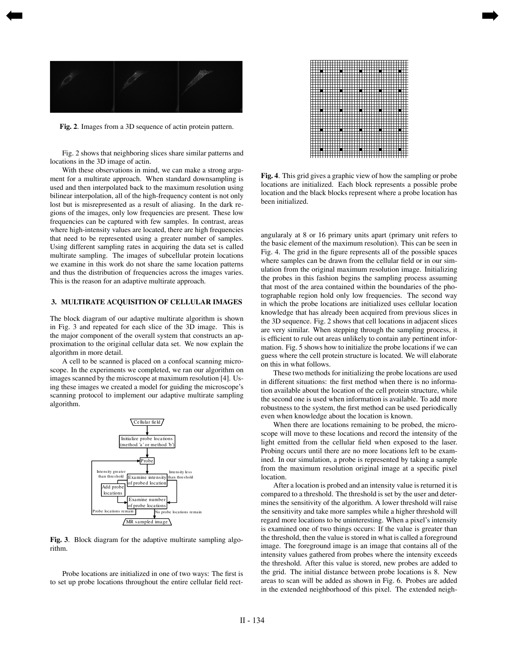

<span id="page-1-0"></span>[➡](#page-0-0)

**Fig. 2**. Images from a 3D sequence of actin protein pattern.

Fig. 2 shows that neighboring slices share similar patterns and locations in the 3D image of actin.

With these observations in mind, we can make a strong argument for a multirate approach. When standard downsampling is used and then interpolated back to the maximum resolution using bilinear interpolation, all of the high-frequency content is not only lost but is misrepresented as a result of aliasing. In the dark regions of the images, only low frequencies are present. These low frequencies can be captured with few samples. In contrast, areas where high-intensity values are located, there are high frequencies that need to be represented using a greater number of samples. Using different sampling rates in acquiring the data set is called multirate sampling. The images of subcellular protein locations we examine in this work do not share the same location patterns and thus the distribution of frequencies across the images varies. This is the reason for an adaptive multirate approach.

#### **3. MULTIRATE ACQUISITION OF CELLULAR IMAGES**

The block diagram of our adaptive multirate algorithm is shown in Fig. 3 and repeated for each slice of the 3D image. This is the major component of the overall system that constructs an approximation to the original cellular data set. We now explain the algorithm in more detail.

A cell to be scanned is placed on a confocal scanning microscope. In the experiments we completed, we ran our algorithm on images scanned by the microscope at maximum resolution [4]. Using these images we created a model for guiding the microscope's scanning protocol to implement our adaptive multirate sampling algorithm.



**Fig. 3**. Block diagram for the adaptive multirate sampling algorithm.

Probe locations are initialized in one of two ways: The first is to set up probe locations throughout the entire cellular field rect-



[➡](#page-2-0)

**Fig. 4**. This grid gives a graphic view of how the sampling or probe locations are initialized. Each block represents a possible probe location and the black blocks represent where a probe location has been initialized.

angularaly at 8 or 16 primary units apart (primary unit refers to the basic element of the maximum resolution). This can be seen in Fig. 4. The grid in the figure represents all of the possible spaces where samples can be drawn from the cellular field or in our simulation from the original maximum resolution image. Initializing the probes in this fashion begins the sampling process assuming that most of the area contained within the boundaries of the photographable region hold only low frequencies. The second way in which the probe locations are initialized uses cellular location knowledge that has already been acquired from previous slices in the 3D sequence. Fig. 2 shows that cell locations in adjacent slices are very similar. When stepping through the sampling process, it is efficient to rule out areas unlikely to contain any pertinent information. Fig. 5 shows how to initialize the probe locations if we can guess where the cell protein structure is located. We will elaborate on this in what follows.

These two methods for initializing the probe locations are used in different situations: the first method when there is no information available about the location of the cell protein structure, while the second one is used when information is available. To add more robustness to the system, the first method can be used periodically even when knowledge about the location is known.

When there are locations remaining to be probed, the microscope will move to these locations and record the intensity of the light emitted from the cellular field when exposed to the laser. Probing occurs until there are no more locations left to be examined. In our simulation, a probe is represented by taking a sample from the maximum resolution original image at a specific pixel location.

After a location is probed and an intensity value is returned it is compared to a threshold. The threshold is set by the user and determines the sensitivity of the algorithm. A lower threshold will raise the sensitivity and take more samples while a higher threshold will regard more locations to be uninteresting. When a pixel's intensity is examined one of two things occurs: If the value is greater than the threshold, then the value is stored in what is called a foreground image. The foreground image is an image that contains all of the intensity values gathered from probes where the intensity exceeds the threshold. After this value is stored, new probes are added to the grid. The initial distance between probe locations is 8. New areas to scan will be added as shown in Fig. 6. Probes are added in the extended neighborhood of this pixel. The extended neigh-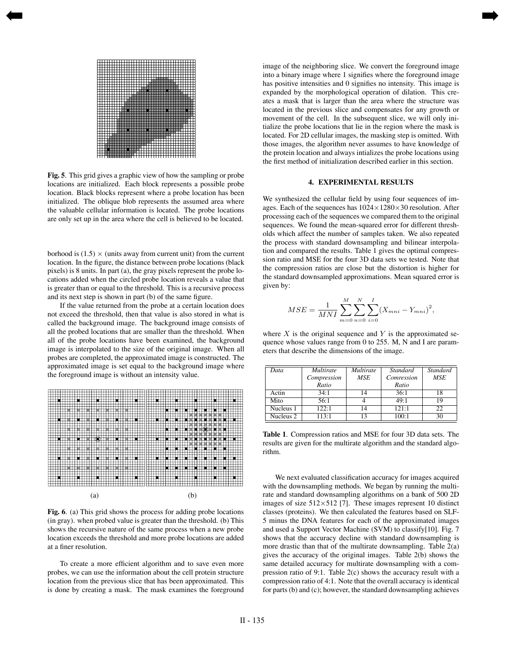

<span id="page-2-0"></span>[➡](#page-1-0)

**Fig. 5**. This grid gives a graphic view of how the sampling or probe locations are initialized. Each block represents a possible probe location. Black blocks represent where a probe location has been initialized. The oblique blob represents the assumed area where the valuable cellular information is located. The probe locations are only set up in the area where the cell is believed to be located.

borhood is  $(1.5) \times$  (units away from current unit) from the current location. In the figure, the distance between probe locations (black pixels) is 8 units. In part (a), the gray pixels represent the probe locations added when the circled probe location reveals a value that is greater than or equal to the threshold. This is a recursive process and its next step is shown in part (b) of the same figure.

If the value returned from the probe at a certain location does not exceed the threshold, then that value is also stored in what is called the background image. The background image consists of all the probed locations that are smaller than the threshold. When all of the probe locations have been examined, the background image is interpolated to the size of the original image. When all probes are completed, the approximated image is constructed. The approximated image is set equal to the background image where the foreground image is without an intensity value.



**Fig. 6**. (a) This grid shows the process for adding probe locations (in gray). when probed value is greater than the threshold. (b) This shows the recursive nature of the same process when a new probe location exceeds the threshold and more probe locations are added at a finer resolution.

To create a more efficient algorithm and to save even more probes, we can use the information about the cell protein structure location from the previous slice that has been approximated. This is done by creating a mask. The mask examines the foreground image of the neighboring slice. We convert the foreground image into a binary image where 1 signifies where the foreground image has positive intensities and 0 signifies no intensity. This image is expanded by the morphological operation of dilation. This creates a mask that is larger than the area where the structure was located in the previous slice and compensates for any growth or movement of the cell. In the subsequent slice, we will only initialize the probe locations that lie in the region where the mask is located. For 2D cellular images, the masking step is omitted. With those images, the algorithm never assumes to have knowledge of the protein location and always intializes the probe locations using the first method of initialization described earlier in this section.

[➡](#page-3-0)

#### **4. EXPERIMENTAL RESULTS**

We synthesized the cellular field by using four sequences of images. Each of the sequences has  $1024 \times 1280 \times 30$  resolution. After processing each of the sequences we compared them to the original sequences. We found the mean-squared error for different thresholds which affect the number of samples taken. We also repeated the process with standard downsampling and bilinear interpolation and compared the results. Table 1 gives the optimal compression ratio and MSE for the four 3D data sets we tested. Note that the compression ratios are close but the distortion is higher for the standard downsampled approximations. Mean squared error is given by:

$$
MSE = \frac{1}{MNI} \sum_{m=0}^{M} \sum_{n=0}^{N} \sum_{i=0}^{I} (X_{mni} - Y_{mni})^{2},
$$

where  $X$  is the original sequence and  $Y$  is the approximated sequence whose values range from 0 to 255. M, N and I are parameters that describe the dimensions of the image.

| Data      | Multirate   | Multirate  | Standard   | <b>Standard</b> |
|-----------|-------------|------------|------------|-----------------|
|           | Compression | <b>MSE</b> | Comression | <b>MSE</b>      |
|           | Ratio       |            | Ratio      |                 |
| Actin     | 34:1        | 14         | 36:1       | 18              |
| Mito      | 56:1        |            | 49:1       | 19              |
| Nucleus 1 | 122:1       | 14         | 121:1      | 22              |
| Nucleus 2 | 113:1       | 13         | 100:1      | 30              |

**Table 1**. Compression ratios and MSE for four 3D data sets. The results are given for the multirate algorithm and the standard algorithm.

We next evaluated classification accuracy for images acquired with the downsampling methods. We began by running the multirate and standard downsampling algorithms on a bank of 500 2D images of size  $512\times512$  [7]. These images represent 10 distinct classes (proteins). We then calculated the features based on SLF-5 minus the DNA features for each of the approximated images and used a Support Vector Machine (SVM) to classify[10]. Fig. 7 shows that the accuracy decline with standard downsampling is more drastic than that of the multirate downsampling. Table  $2(a)$ gives the accuracy of the original images. Table 2(b) shows the same detailed accuracy for multirate downsampling with a compression ratio of 9:1. Table 2(c) shows the accuracy result with a compression ratio of 4:1. Note that the overall accuracy is identical for parts (b) and (c); however, the standard downsampling achieves